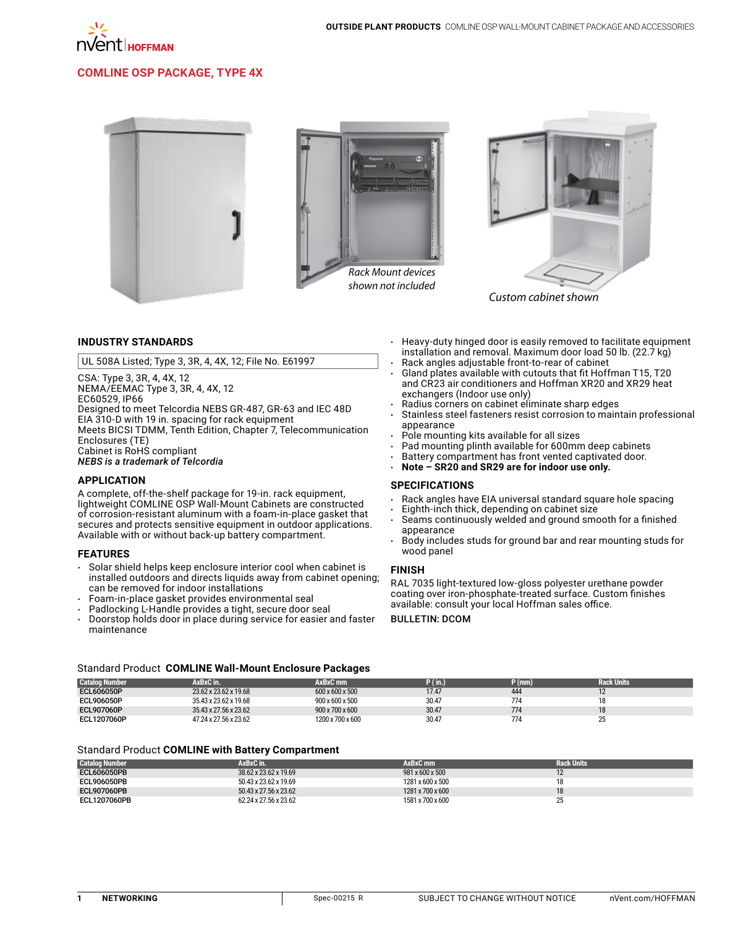

### **COMLINE OSP Package, Type 4X**





*shown not included*



*Custom cabinet shown*

### **INDUSTRY STANDARDS**

UL 508A Listed; Type 3, 3R, 4, 4X, 12; File No. E61997

CSA: Type 3, 3R, 4, 4X, 12 NEMA/EEMAC Type 3, 3R, 4, 4X, 12 EC60529, IP66 Designed to meet Telcordia NEBS GR-487, GR-63 and IEC 48D EIA 310-D with 19 in. spacing for rack equipment Meets BICSI TDMM, Tenth Edition, Chapter 7, Telecommunication Enclosures (TE) Cabinet is RoHS compliant *NEBS is a trademark of Telcordia*

### **APPLICATION**

A complete, off-the-shelf package for 19-in. rack equipment, lightweight COMLINE OSP Wall-Mount Cabinets are constructed of corrosion-resistant aluminum with a foam-in-place gasket that secures and protects sensitive equipment in outdoor applications. Available with or without back-up battery compartment.

#### **FEATURES**

- Solar shield helps keep enclosure interior cool when cabinet is installed outdoors and directs liquids away from cabinet opening; can be removed for indoor installations
- Foam-in-place gasket provides environmental seal
- Padlocking L-Handle provides a tight, secure door seal
- Doorstop holds door in place during service for easier and faster maintenance
- • Heavy-duty hinged door is easily removed to facilitate equipment installation and removal. Maximum door load 50 lb. (22.7 kg) Rack angles adjustable front-to-rear of cabinet
- Gland plates available with cutouts that fit Hoffman T15, T20 and CR23 air conditioners and Hoffman XR20 and XR29 heat exchangers (Indoor use only)
- Radius corners on cabinet eliminate sharp edges
- Stainless steel fasteners resist corrosion to maintain professional appearance
- Pole mounting kits available for all sizes
- Pad mounting plinth available for 600mm deep cabinets
- • Battery compartment has front vented captivated door.
- Note SR20 and SR29 are for indoor use only.

#### **SPECIFICATIONS**

- Rack angles have EIA universal standard square hole spacing
- Eighth-inch thick, depending on cabinet size
- Seams continuously welded and ground smooth for a finished appearance
- Body includes studs for ground bar and rear mounting studs for wood panel

#### **FINISH**

RAL 7035 light-textured low-gloss polyester urethane powder coating over iron-phosphate-treated surface. Custom finishes available: consult your local Hoffman sales office.

Bulletin: DCOM

### Standard Product **COMLINE Wall-Mount Enclosure Packages**

| <b>Catalog Number</b> | <b>AxBxC</b> in:      | AxBxC mm         | $\mathcal{N}(\mathsf{in.})$ | P(mm) | <b>Rack Units</b> |
|-----------------------|-----------------------|------------------|-----------------------------|-------|-------------------|
| ECL606050P            | 23.62 x 23.62 x 19.68 | 600 x 600 x 500  | 17.47                       | 444   |                   |
| ECL906050P            | 35.43 x 23.62 x 19.68 | 900 x 600 x 500  | 30.47                       | 774   | 18                |
| ECL907060P            | 35.43 x 27.56 x 23.62 | 900 x 700 x 600  | 30.47                       | 774   | 18                |
| ECL1207060P           | 47.24 x 27.56 x 23.62 | 1200 x 700 x 600 | 30.47                       | 774   | ∠J                |

#### Standard Product **COMLINE with Battery Compartment**

| <b>Catalog Number</b> | AxBxC in.             | AxBxC mm         | <b>Rack Units</b> |
|-----------------------|-----------------------|------------------|-------------------|
| <b>ECL606050PB</b>    | 38.62 x 23.62 x 19.69 | 981 x 600 x 500  |                   |
| ECL906050PB           | 50.43 x 23.62 x 19.69 | 1281 x 600 x 500 |                   |
| <b>ECL907060PB</b>    | 50.43 x 27.56 x 23.62 | 1281 x 700 x 600 |                   |
| ECL1207060PB          | 62.24 x 27.56 x 23.62 | 1581 x 700 x 600 | 25<br>$\sim$      |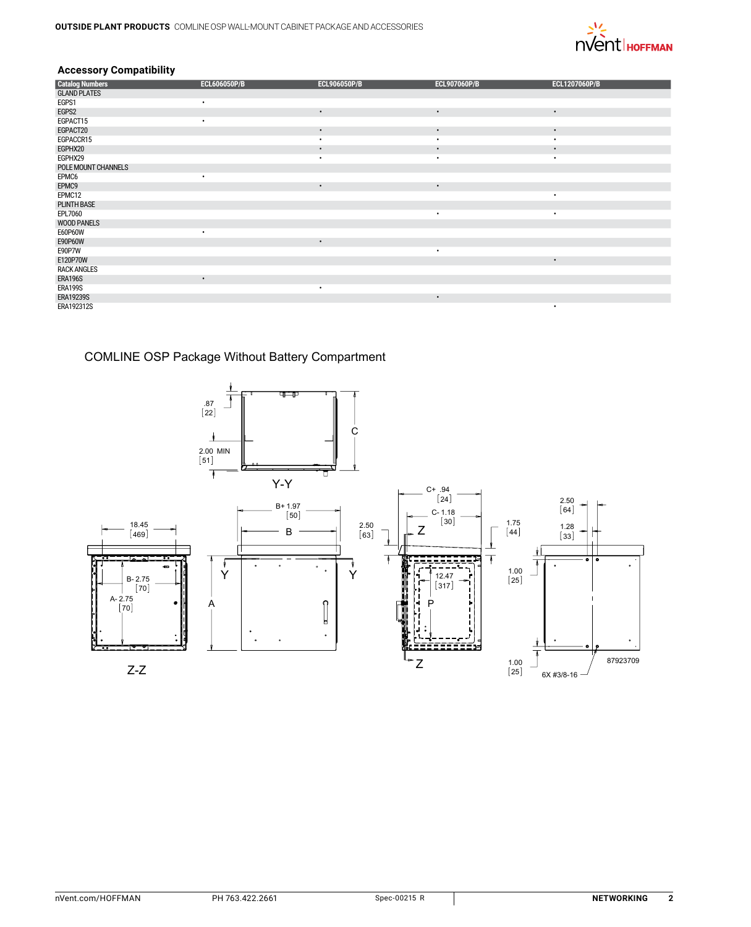

# **Accessory Compatibility**

| <b>Catalog Numbers</b> | <b>ECL606050P/B</b> | <b>ECL906050P/B</b> | <b>ECL907060P/B</b> | ECL1207060P/B |
|------------------------|---------------------|---------------------|---------------------|---------------|
| <b>GLAND PLATES</b>    |                     |                     |                     |               |
| EGPS1                  | ٠                   |                     |                     |               |
| EGPS2                  |                     | $\bullet$           | $\bullet$           | $\bullet$     |
| EGPACT15               |                     |                     |                     |               |
| EGPACT20               |                     | $\bullet$           | $\bullet$           | $\bullet$     |
| EGPACCR15              |                     | $\bullet$           | $\bullet$           | ٠             |
| EGPHX20                |                     | $\bullet$           | $\bullet$           | $\bullet$     |
| EGPHX29                |                     | ٠                   | $\bullet$           | ٠             |
| POLE MOUNT CHANNELS    |                     |                     |                     |               |
| EPMC6                  | ٠                   |                     |                     |               |
| EPMC9                  |                     | $\bullet$           | $\bullet$           |               |
| EPMC12                 |                     |                     |                     | ٠             |
| <b>PLINTH BASE</b>     |                     |                     |                     |               |
| EPL7060                |                     |                     | ٠                   | $\bullet$     |
| <b>WOOD PANELS</b>     |                     |                     |                     |               |
| E60P60W                | ٠                   |                     |                     |               |
| E90P60W                |                     | $\bullet$           |                     |               |
| E90P7W                 |                     |                     | ٠                   |               |
| E120P70W               |                     |                     |                     | $\bullet$     |
| <b>RACK ANGLES</b>     |                     |                     |                     |               |
| <b>ERA196S</b>         | $\bullet$           |                     |                     |               |
| ERA199S                |                     | $\bullet$           |                     |               |
| <b>ERA19239S</b>       |                     |                     | $\bullet$           |               |
| ERA192312S             |                     |                     |                     | ٠             |

# COMLINE OSP Package Without Battery Compartment

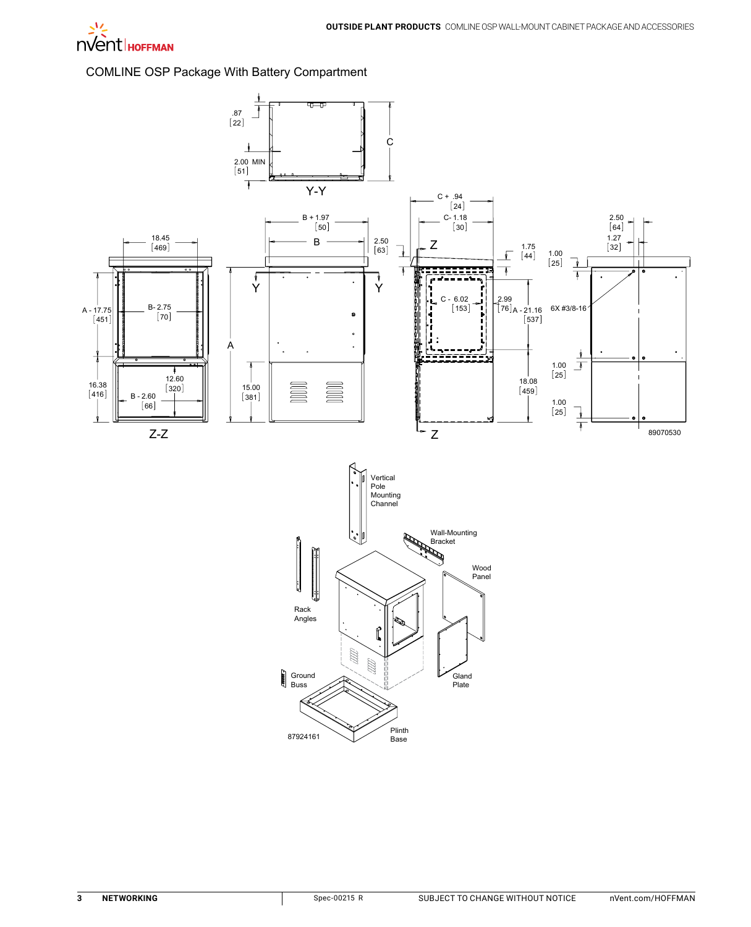

COMLINE OSP Package With Battery Compartment

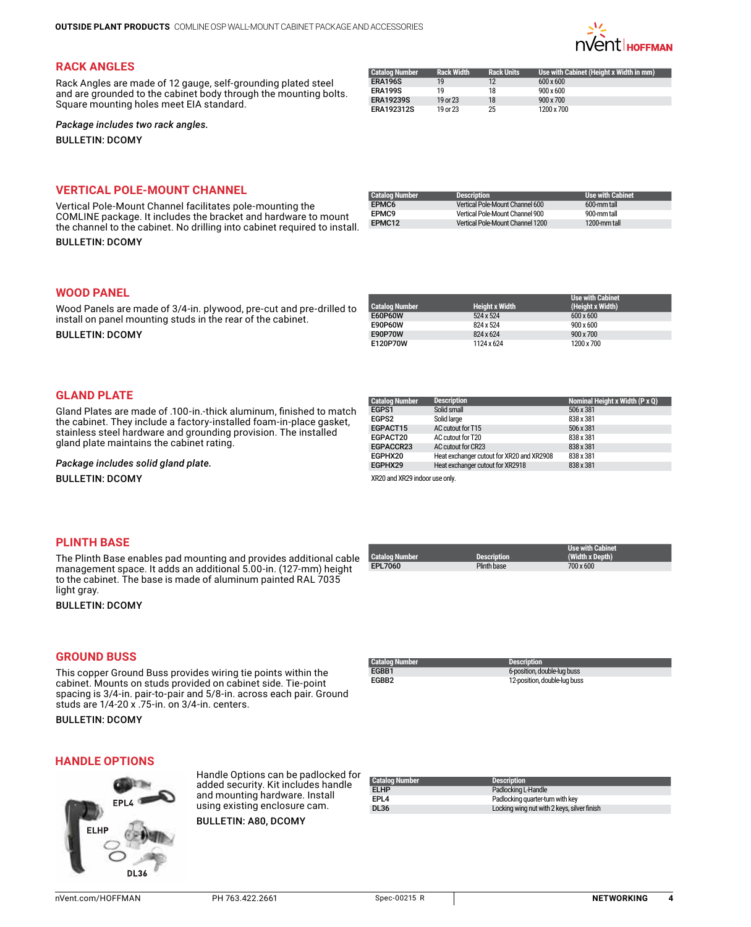

# **Rack Angles**

Rack Angles are made of 12 gauge, self-grounding plated steel and are grounded to the cabinet body through the mounting bolts. Square mounting holes meet EIA standard.

| Catalog Number    | <b>Rack Width</b> | <b>Rack Units</b> | Use with Cabinet (Height x Width in mm) |
|-------------------|-------------------|-------------------|-----------------------------------------|
| <b>ERA196S</b>    | 19                | 12                | $600 \times 600$                        |
| ERA199S           | 19                | 18                | $900 \times 600$                        |
| <b>ERA19239S</b>  | 19 or 23          | 18                | $900 \times 700$                        |
| <b>ERA192312S</b> | 19 or 23          | 25                | 1200 x 700                              |

### *Package includes two rack angles.*

**BULLETIN: DCOMY** 

# **Vertical Pole-Mount Channel**

Vertical Pole-Mount Channel facilitates pole-mounting the COMLINE package. It includes the bracket and hardware to mount the channel to the cabinet. No drilling into cabinet required to install.

**BULLETIN: DCOMY** 

| <b>Catalog Number</b> | <b>Description</b>               | <b>Use with Cabinet</b> |
|-----------------------|----------------------------------|-------------------------|
| EPMC6                 | Vertical Pole-Mount Channel 600  | 600-mm tall             |
| FPMC9                 | Vertical Pole-Mount Channel 900  | 900-mm tall             |
| EPMC12                | Vertical Pole-Mount Channel 1200 | 1200-mm tall            |

### **Wood Panel**

Wood Panels are made of 3/4-in. plywood, pre-cut and pre-drilled to install on panel mounting studs in the rear of the cabinet.

Bulletin: DCOMY

|                |                       | <b>Use with Cabinet</b> |
|----------------|-----------------------|-------------------------|
| Catalog Number | <b>Height x Width</b> | (Height x Width)        |
| E60P60W        | 524 x 524             | $600 \times 600$        |
| E90P60W        | 824 x 524             | $900 \times 600$        |
| E90P70W        | 824 x 624             | $900 \times 700$        |
| E120P70W       | 1124 x 624            | 1200 x 700              |
|                |                       |                         |

### **Gland Plate**

Gland Plates are made of .100-in.-thick aluminum, finished to match the cabinet. They include a factory-installed foam-in-place gasket, stainless steel hardware and grounding provision. The installed gland plate maintains the cabinet rating.

*Package includes solid gland plate.*

**BULLETIN: DCOMY** 

#### **Catalog Number Description Nominal Height x Width (P x Q)** [EGPS1](http://hoffman.nvent.com/en/hoffman/EGPS1) Solid small 506 x 381<br>
506 x 381<br>
538 x 381 Solid large [EGPACT15](http://hoffman.nvent.com/en/hoffman/EGPACT15) AC cutout for T15 506 x 381 [EGPACT20](http://hoffman.nvent.com/en/hoffman/EGPACT20) AC cutout for T20 838 x 381 [EGPACCR23](http://hoffman.nvent.com/en/hoffman/EGPACCR23) AC cutout for CR23 838 x 381 [EGPHX20](http://hoffman.nvent.com/en/hoffman/EGPHX20) Heat exchanger cutout for XR20 and XR2908 838 x 381 [EGPHX29](http://hoffman.nvent.com/en/hoffman/EGPHX29) Heat exchanger cutout for XR2918 838 x 381 XR20 and XR29 indoor use only.

### **Plinth Base**

The Plinth Base enables pad mounting and provides additional cable management space. It adds an additional 5.00-in. (127-mm) height to the cabinet. The base is made of aluminum painted RAL 7035 light gray.

**BULLETIN: DCOMY** 

| l Catalog Number | <b>Description</b> | <b>Use with Cabinet</b><br>(Width x Depth) |
|------------------|--------------------|--------------------------------------------|
| EPL7060          | Plinth base        | 700 x 600                                  |

## **Ground Buss**

This copper Ground Buss provides wiring tie points within the cabinet. Mounts on studs provided on cabinet side. Tie-point spacing is 3/4-in. pair-to-pair and 5/8-in. across each pair. Ground studs are 1/4-20 x .75-in. on 3/4-in. centers.

**BULLETIN: DCOMY** 

| Catalog Number | Description <b>:</b>         |  |
|----------------|------------------------------|--|
| EGBB1          | 6-position, double-lug buss  |  |
| FGBB2          | 12-position, double-lug buss |  |

# **Handle Options**



Handle Options can be padlocked for added security. Kit includes handle and mounting hardware. Install using existing enclosure cam.

Bulletin: A80, DCOMY

| <b>Catalog Number</b> | <b>Description</b>                          |
|-----------------------|---------------------------------------------|
| <b>ELHP</b>           | Padlocking L-Handle                         |
| EPL <sub>4</sub>      | Padlocking quarter-turn with key            |
| <b>DL36</b>           | Locking wing nut with 2 keys, silver finish |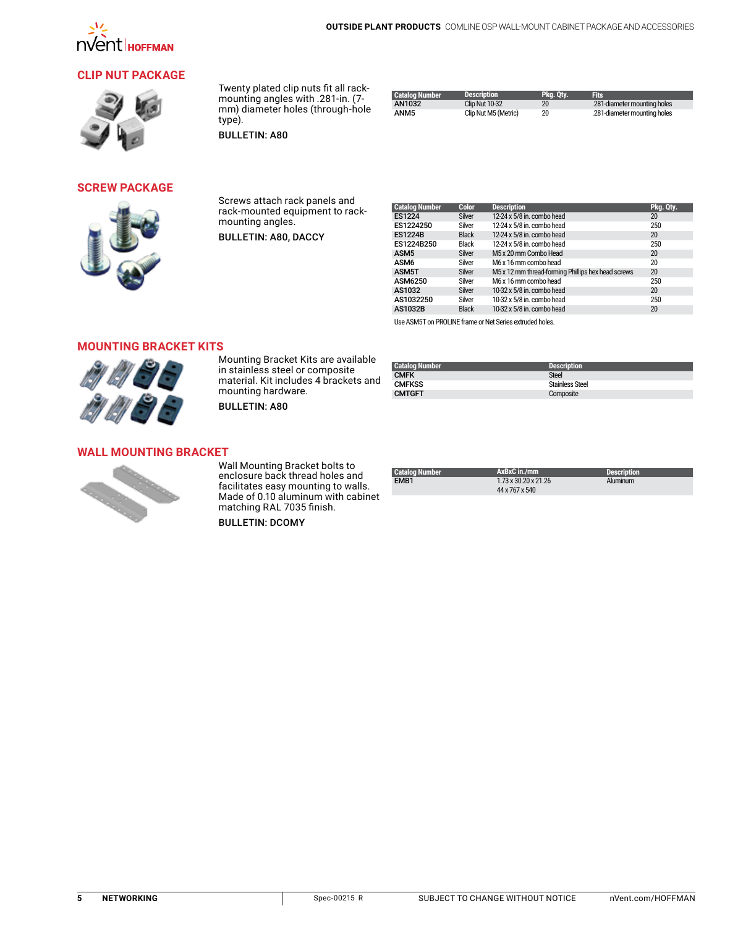

# **Clip [Nut Package](http://hoffman.nvent.com/en/hoffman/Clip-Nut-Package)**



Twenty plated clip nuts fit all rackmounting angles with .281-in. (7 mm) diameter holes (through-hole type).

**BULLETIN: A80** 

| <b>Catalog Number</b> | <b>Description</b>    | Pka. Otv. | <b>Fits</b>                  |
|-----------------------|-----------------------|-----------|------------------------------|
| AN1032                | <b>Clip Nut 10-32</b> | 20        | .281-diameter mounting holes |
| ANM5                  | Clip Nut M5 (Metric)  | 20        | .281-diameter mounting holes |

**[Screw Package](http://hoffman.nvent.com/en/hoffman/Screw-Package-3141)**



Screws attach rack panels and rack-mounted equipment to rackmounting angles.

Bulletin: A80, DACCY

| <b>Catalog Number</b> | <b>Color</b>  | <b>Description</b>                                 | Pkg. Qty. |
|-----------------------|---------------|----------------------------------------------------|-----------|
| <b>ES1224</b>         | Silver        | 12-24 x 5/8 in. combo head                         | 20        |
| ES1224250             | Silver        | 12-24 x 5/8 in. combo head                         | 250       |
| <b>ES1224B</b>        | <b>Black</b>  | 12-24 x 5/8 in. combo head                         | 20        |
| ES1224B250            | <b>Black</b>  | 12-24 x 5/8 in. combo head                         | 250       |
| ASM <sub>5</sub>      | <b>Silver</b> | M5 x 20 mm Combo Head                              | 20        |
| ASM6                  | Silver        | M6 x 16 mm combo head                              | 20        |
| ASM5T                 | <b>Silver</b> | M5 x 12 mm thread-forming Phillips hex head screws | 20        |
| ASM6250               | Silver        | M6 x 16 mm combo head                              | 250       |
| AS1032                | <b>Silver</b> | 10-32 x 5/8 in. combo head                         | 20        |
| AS1032250             | Silver        | 10-32 x 5/8 in. combo head                         | 250       |
| <b>AS1032B</b>        | <b>Black</b>  | 10-32 x 5/8 in. combo head                         | 20        |
|                       |               |                                                    |           |

Use ASM5T on PROLINE frame or Net Series extruded holes.

### **Mounting Bracket Kits**



Mounting Bracket Kits are available in stainless steel or composite material. Kit includes 4 brackets and mounting hardware.

**BULLETIN: A80** 

**Catalog Number Description [CMFK](http://hoffman.nvent.com/en/hoffman/CMFK)** Steel<br>CMFK Steel<br>CMFKSS Stain [CMFKSS](http://hoffman.nvent.com/en/hoffman/CMFKSS) Stainless Stainless Steel<br>
CMTGFT COMPOSITE Composite

# **Wall Mounting Bracket**



Wall Mounting Bracket bolts to enclosure back thread holes and facilitates easy mounting to walls. Made of 0.10 aluminum with cabinet matching RAL 7035 finish.

**BULLETIN: DCOMY** 

| <b>Catalog Number</b> | AxBxC in./mm                           | <b>Description</b> |
|-----------------------|----------------------------------------|--------------------|
| EMB <sub>1</sub>      | 1.73 x 30.20 x 21.26<br>44 x 767 x 540 | Aluminum           |